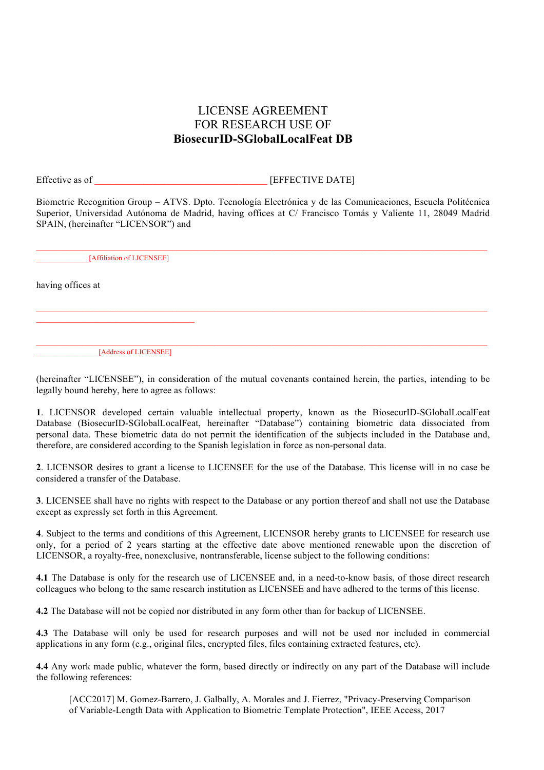## LICENSE AGREEMENT FOR RESEARCH USE OF **BiosecurID-SGlobalLocalFeat DB**

Effective as of **EFFECTIVE DATE** 

Biometric Recognition Group – ATVS. Dpto. Tecnología Electrónica y de las Comunicaciones, Escuela Politécnica Superior, Universidad Autónoma de Madrid, having offices at C/ Francisco Tomás y Valiente 11, 28049 Madrid SPAIN, (hereinafter "LICENSOR") and

\_\_\_\_\_\_\_\_\_\_\_[Affiliation of LICENSEE]

having offices at

\_\_\_\_\_\_\_\_\_\_\_\_\_[Address of LICENSEE]

(hereinafter "LICENSEE"), in consideration of the mutual covenants contained herein, the parties, intending to be legally bound hereby, here to agree as follows:

 $\mathcal{L}_\mathcal{L} = \{ \mathcal{L}_\mathcal{L} = \{ \mathcal{L}_\mathcal{L} = \{ \mathcal{L}_\mathcal{L} = \{ \mathcal{L}_\mathcal{L} = \{ \mathcal{L}_\mathcal{L} = \{ \mathcal{L}_\mathcal{L} = \{ \mathcal{L}_\mathcal{L} = \{ \mathcal{L}_\mathcal{L} = \{ \mathcal{L}_\mathcal{L} = \{ \mathcal{L}_\mathcal{L} = \{ \mathcal{L}_\mathcal{L} = \{ \mathcal{L}_\mathcal{L} = \{ \mathcal{L}_\mathcal{L} = \{ \mathcal{L}_\mathcal{$ 

**1**. LICENSOR developed certain valuable intellectual property, known as the BiosecurID-SGlobalLocalFeat Database (BiosecurID-SGlobalLocalFeat, hereinafter "Database") containing biometric data dissociated from personal data. These biometric data do not permit the identification of the subjects included in the Database and, therefore, are considered according to the Spanish legislation in force as non-personal data.

**2**. LICENSOR desires to grant a license to LICENSEE for the use of the Database. This license will in no case be considered a transfer of the Database.

**3**. LICENSEE shall have no rights with respect to the Database or any portion thereof and shall not use the Database except as expressly set forth in this Agreement.

**4**. Subject to the terms and conditions of this Agreement, LICENSOR hereby grants to LICENSEE for research use only, for a period of 2 years starting at the effective date above mentioned renewable upon the discretion of LICENSOR, a royalty-free, nonexclusive, nontransferable, license subject to the following conditions:

**4.1** The Database is only for the research use of LICENSEE and, in a need-to-know basis, of those direct research colleagues who belong to the same research institution as LICENSEE and have adhered to the terms of this license.

**4.2** The Database will not be copied nor distributed in any form other than for backup of LICENSEE.

**4.3** The Database will only be used for research purposes and will not be used nor included in commercial applications in any form (e.g., original files, encrypted files, files containing extracted features, etc).

**4.4** Any work made public, whatever the form, based directly or indirectly on any part of the Database will include the following references:

[ACC2017] M. Gomez-Barrero, J. Galbally, A. Morales and J. Fierrez, "Privacy-Preserving Comparison of Variable-Length Data with Application to Biometric Template Protection", IEEE Access, 2017